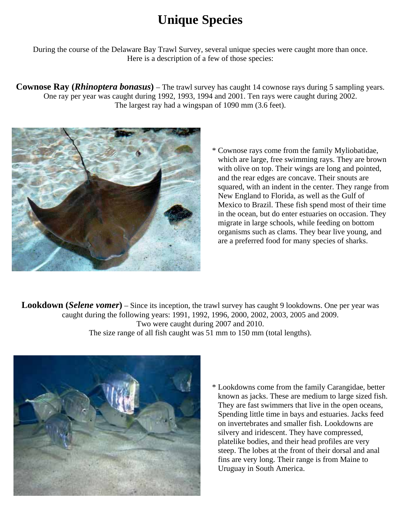## **Unique Species**

During the course of the Delaware Bay Trawl Survey, several unique species were caught more than once. Here is a description of a few of those species:

**Cownose Ray (***Rhinoptera bonasus*) – The trawl survey has caught 14 cownose rays during 5 sampling years. One ray per year was caught during 1992, 1993, 1994 and 2001. Ten rays were caught during 2002. The largest ray had a wingspan of 1090 mm (3.6 feet).



 \* Cownose rays come from the family Myliobatidae, which are large, free swimming rays. They are brown with olive on top. Their wings are long and pointed, and the rear edges are concave. Their snouts are squared, with an indent in the center. They range from New England to Florida, as well as the Gulf of Mexico to Brazil. These fish spend most of their time in the ocean, but do enter estuaries on occasion. They migrate in large schools, while feeding on bottom organisms such as clams. They bear live young, and are a preferred food for many species of sharks.

**Lookdown (***Selene vomer*) – Since its inception, the trawl survey has caught 9 lookdowns. One per year was caught during the following years: 1991, 1992, 1996, 2000, 2002, 2003, 2005 and 2009. Two were caught during 2007 and 2010. The size range of all fish caught was 51 mm to 150 mm (total lengths).



 \* Lookdowns come from the family Carangidae, better known as jacks. These are medium to large sized fish. They are fast swimmers that live in the open oceans, Spending little time in bays and estuaries. Jacks feed on invertebrates and smaller fish. Lookdowns are silvery and iridescent. They have compressed, platelike bodies, and their head profiles are very steep. The lobes at the front of their dorsal and anal fins are very long. Their range is from Maine to Uruguay in South America.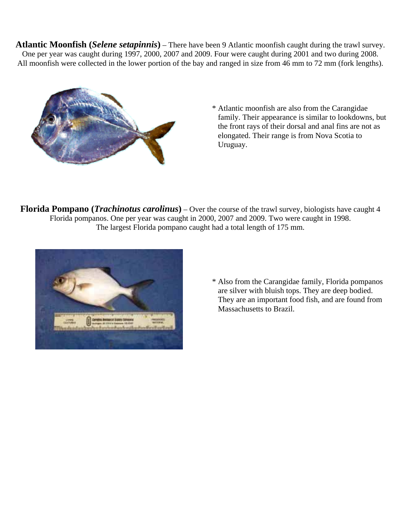**Atlantic Moonfish (***Selene setapinnis***)** – There have been 9 Atlantic moonfish caught during the trawl survey. One per year was caught during 1997, 2000, 2007 and 2009. Four were caught during 2001 and two during 2008. All moonfish were collected in the lower portion of the bay and ranged in size from 46 mm to 72 mm (fork lengths).



 \* Atlantic moonfish are also from the Carangidae family. Their appearance is similar to lookdowns, but the front rays of their dorsal and anal fins are not as elongated. Their range is from Nova Scotia to Uruguay.

**Florida Pompano (***Trachinotus carolinus***)** – Over the course of the trawl survey, biologists have caught 4 Florida pompanos. One per year was caught in 2000, 2007 and 2009. Two were caught in 1998. The largest Florida pompano caught had a total length of 175 mm.



 \* Also from the Carangidae family, Florida pompanos are silver with bluish tops. They are deep bodied. They are an important food fish, and are found from Massachusetts to Brazil.